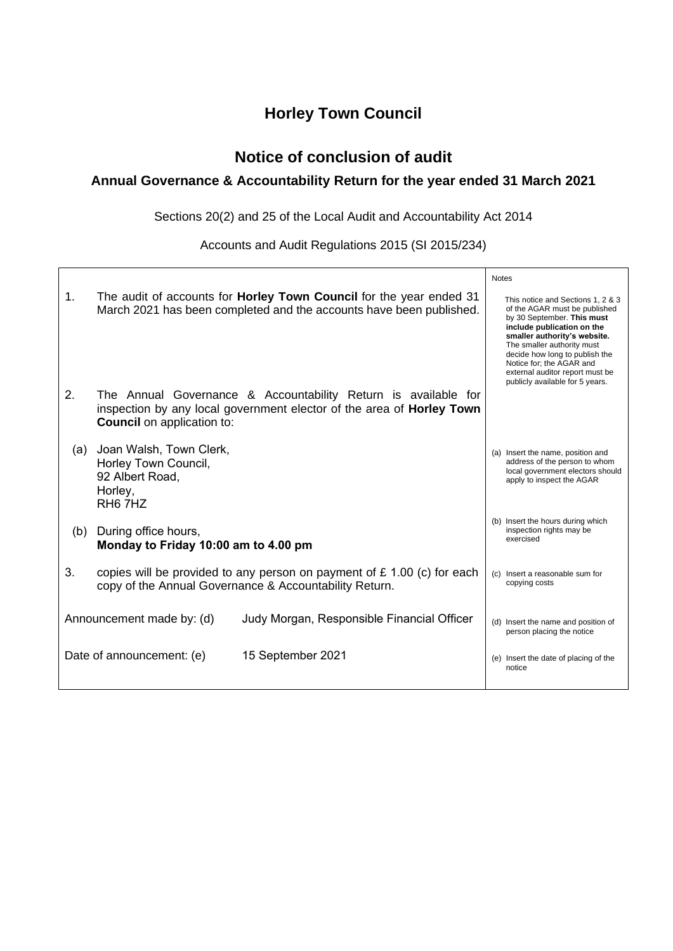# **Horley Town Council**

## **Notice of conclusion of audit**

## **Annual Governance & Accountability Return for the year ended 31 March 2021**

Sections 20(2) and 25 of the Local Audit and Accountability Act 2014

Accounts and Audit Regulations 2015 (SI 2015/234)

|                                                                         |                                                                                                                                                                              |                                                                                                                                                   | <b>Notes</b>                                                               |                                                                                                                                                                                                                                                                                                                                  |
|-------------------------------------------------------------------------|------------------------------------------------------------------------------------------------------------------------------------------------------------------------------|---------------------------------------------------------------------------------------------------------------------------------------------------|----------------------------------------------------------------------------|----------------------------------------------------------------------------------------------------------------------------------------------------------------------------------------------------------------------------------------------------------------------------------------------------------------------------------|
| 1.                                                                      |                                                                                                                                                                              | The audit of accounts for <b>Horley Town Council</b> for the year ended 31<br>March 2021 has been completed and the accounts have been published. |                                                                            | This notice and Sections 1, 2 & 3<br>of the AGAR must be published<br>by 30 September. This must<br>include publication on the<br>smaller authority's website.<br>The smaller authority must<br>decide how long to publish the<br>Notice for; the AGAR and<br>external auditor report must be<br>publicly available for 5 years. |
| 2.                                                                      | The Annual Governance & Accountability Return is available for<br>inspection by any local government elector of the area of Horley Town<br><b>Council</b> on application to: |                                                                                                                                                   |                                                                            |                                                                                                                                                                                                                                                                                                                                  |
| (a)                                                                     | Joan Walsh, Town Clerk,<br>Horley Town Council,<br>92 Albert Road.<br>Horley,<br>RH <sub>6</sub> 7H <sub>Z</sub>                                                             |                                                                                                                                                   |                                                                            | (a) Insert the name, position and<br>address of the person to whom<br>local government electors should<br>apply to inspect the AGAR                                                                                                                                                                                              |
| (b)                                                                     | During office hours,<br>Monday to Friday 10:00 am to 4.00 pm                                                                                                                 |                                                                                                                                                   | (b) Insert the hours during which<br>inspection rights may be<br>exercised |                                                                                                                                                                                                                                                                                                                                  |
| 3.                                                                      | copies will be provided to any person on payment of $£ 1.00$ (c) for each<br>copy of the Annual Governance & Accountability Return.                                          |                                                                                                                                                   | (c) Insert a reasonable sum for<br>copying costs                           |                                                                                                                                                                                                                                                                                                                                  |
| Announcement made by: (d)<br>Judy Morgan, Responsible Financial Officer |                                                                                                                                                                              |                                                                                                                                                   | (d) Insert the name and position of<br>person placing the notice           |                                                                                                                                                                                                                                                                                                                                  |
| 15 September 2021<br>Date of announcement: (e)                          |                                                                                                                                                                              |                                                                                                                                                   | (e) Insert the date of placing of the<br>notice                            |                                                                                                                                                                                                                                                                                                                                  |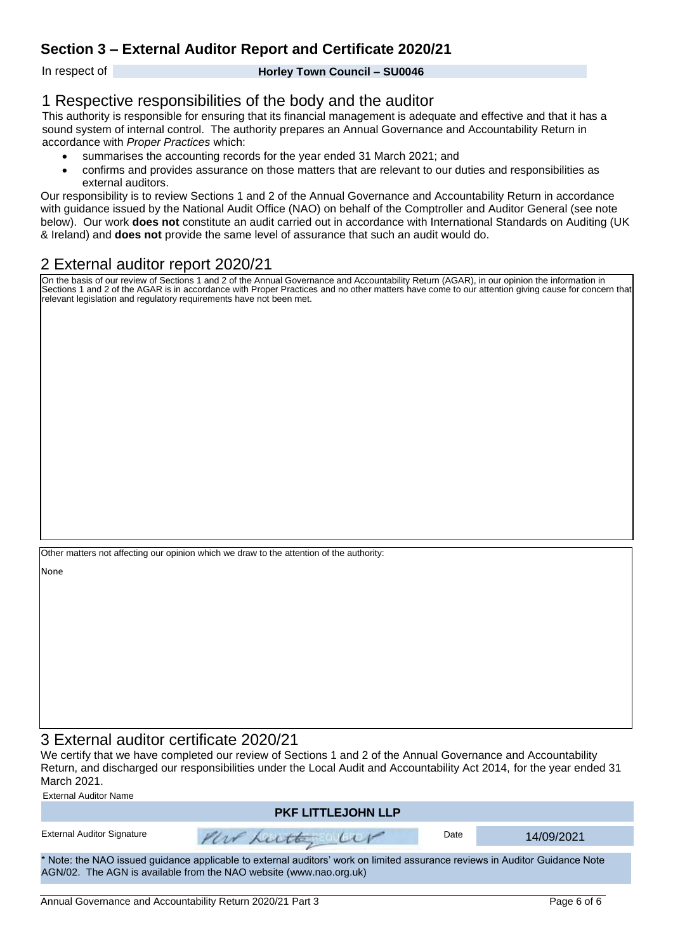## **Section 3 – External Auditor Report and Certificate 2020/21**

In respect of **Horley Town Council – SU0046**

#### 1 Respective responsibilities of the body and the auditor

This authority is responsible for ensuring that its financial management is adequate and effective and that it has a sound system of internal control. The authority prepares an Annual Governance and Accountability Return in accordance with *Proper Practices* which:

- summarises the accounting records for the year ended 31 March 2021; and
- confirms and provides assurance on those matters that are relevant to our duties and responsibilities as external auditors.

Our responsibility is to review Sections 1 and 2 of the Annual Governance and Accountability Return in accordance with guidance issued by the National Audit Office (NAO) on behalf of the Comptroller and Auditor General (see note below). Our work **does not** constitute an audit carried out in accordance with International Standards on Auditing (UK & Ireland) and **does not** provide the same level of assurance that such an audit would do.

## 2 External auditor report 2020/21

On the basis of our review of Sections 1 and 2 of the Annual Governance and Accountability Return (AGAR), in our opinion the information in Sections 1 and 2 of the AGAR is in accordance with Proper Practices and no other matters have come to our attention giving cause for concern that relevant legislation and regulatory requirements have not been met.

Other matters not affecting our opinion which we draw to the attention of the authority:

None

#### 3 External auditor certificate 2020/21

We certify that we have completed our review of Sections 1 and 2 of the Annual Governance and Accountability Return, and discharged our responsibilities under the Local Audit and Accountability Act 2014, for the year ended 31 March 2021. External Auditor Name

| External Auditor Name                                                                                                                                                                             |                           |      |            |  |  |  |  |
|---------------------------------------------------------------------------------------------------------------------------------------------------------------------------------------------------|---------------------------|------|------------|--|--|--|--|
|                                                                                                                                                                                                   | <b>PKF LITTLEJOHN LLP</b> |      |            |  |  |  |  |
| <b>External Auditor Signature</b>                                                                                                                                                                 | Pour Lutte Ler            | Date | 14/09/2021 |  |  |  |  |
| * Note: the NAO issued guidance applicable to external auditors' work on limited assurance reviews in Auditor Guidance Note<br>AGN/02. The AGN is available from the NAO website (www.nao.org.uk) |                           |      |            |  |  |  |  |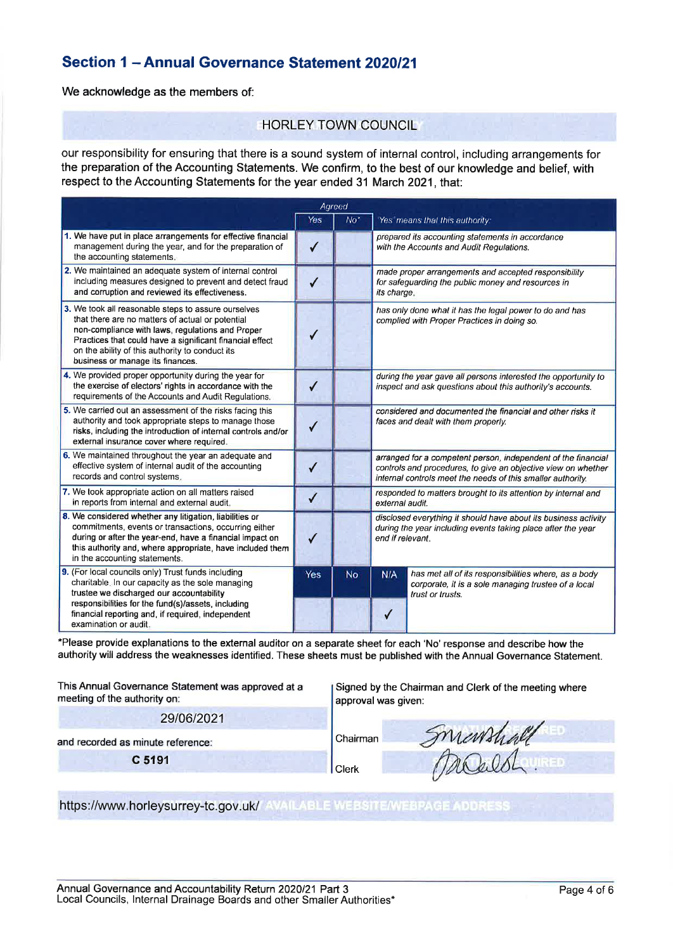## Section 1 - Annual Governance Statement 2020/21

We acknowledge as the members of:

#### **HORLEY TOWN COUNCIL**

our responsibility for ensuring that there is a sound system of internal control, including arrangements for the preparation of the Accounting Statements. We confirm, to the best of our knowledge and belief, with respect to the Accounting Statements for the year ended 31 March 2021, that:

| Agreed                                                                                                                                                                                                                                                                                                         |              |                 |                                                                                                                                                     |                                                                                                                                                                                               |  |  |
|----------------------------------------------------------------------------------------------------------------------------------------------------------------------------------------------------------------------------------------------------------------------------------------------------------------|--------------|-----------------|-----------------------------------------------------------------------------------------------------------------------------------------------------|-----------------------------------------------------------------------------------------------------------------------------------------------------------------------------------------------|--|--|
|                                                                                                                                                                                                                                                                                                                | Yes          | No <sup>*</sup> |                                                                                                                                                     | Yes means that this authority.                                                                                                                                                                |  |  |
| 1. We have put in place arrangements for effective financial<br>management during the year, and for the preparation of<br>the accounting statements.                                                                                                                                                           |              |                 |                                                                                                                                                     | prepared its accounting statements in accordance<br>with the Accounts and Audit Regulations.                                                                                                  |  |  |
| 2. We maintained an adequate system of internal control<br>including measures designed to prevent and detect fraud<br>and corruption and reviewed its effectiveness.                                                                                                                                           |              |                 | its charge.                                                                                                                                         | made proper arrangements and accepted responsibility<br>for safeguarding the public money and resources in                                                                                    |  |  |
| 3. We took all reasonable steps to assure ourselves<br>that there are no matters of actual or potential<br>non-compliance with laws, regulations and Proper<br>Practices that could have a significant financial effect<br>on the ability of this authority to conduct its<br>business or manage its finances. |              |                 |                                                                                                                                                     | has only done what it has the legal power to do and has<br>complied with Proper Practices in doing so.                                                                                        |  |  |
| 4. We provided proper opportunity during the year for<br>the exercise of electors' rights in accordance with the<br>requirements of the Accounts and Audit Regulations.                                                                                                                                        |              |                 |                                                                                                                                                     | during the year gave all persons interested the opportunity to<br>inspect and ask questions about this authority's accounts.                                                                  |  |  |
| 5. We carried out an assessment of the risks facing this<br>authority and took appropriate steps to manage those<br>risks, including the introduction of internal controls and/or<br>external insurance cover where required.                                                                                  |              |                 | considered and documented the financial and other risks it<br>faces and dealt with them properly.                                                   |                                                                                                                                                                                               |  |  |
| 6. We maintained throughout the year an adequate and<br>effective system of internal audit of the accounting<br>records and control systems.                                                                                                                                                                   |              |                 |                                                                                                                                                     | arranged for a competent person, independent of the financial<br>controls and procedures, to give an objective view on whether<br>internal controls meet the needs of this smaller authority. |  |  |
| 7. We took appropriate action on all matters raised<br>in reports from internal and external audit.                                                                                                                                                                                                            | $\checkmark$ |                 | responded to matters brought to its attention by internal and<br>external audit.                                                                    |                                                                                                                                                                                               |  |  |
| 8. We considered whether any litigation, liabilities or<br>commitments, events or transactions, occurring either<br>during or after the year-end, have a financial impact on<br>this authority and, where appropriate, have included them<br>in the accounting statements.                                     | J            |                 | disclosed everything it should have about its business activity<br>during the year including events taking place after the year<br>end if relevant. |                                                                                                                                                                                               |  |  |
| 9. (For local councils only) Trust funds including<br>charitable. In our capacity as the sole managing<br>trustee we discharged our accountability                                                                                                                                                             | Yes          | <b>No</b>       | N/A                                                                                                                                                 | has met all of its responsibilities where, as a body<br>corporate, it is a sole managing trustee of a local<br>trust or trusts.                                                               |  |  |
| responsibilities for the fund(s)/assets, including<br>financial reporting and, if required, independent<br>examination or audit.                                                                                                                                                                               |              |                 |                                                                                                                                                     |                                                                                                                                                                                               |  |  |

\*Please provide explanations to the external auditor on a separate sheet for each 'No' response and describe how the authority will address the weaknesses identified. These sheets must be published with the Annual Governance Statement.

This Annual Governance Statement was approved at a meeting of the authority on: 29/06/2021

Signed by the Chairman and Clerk of the meeting where approval was given:

and recorded as minute reference:

C 5191

Chairman Clerk

Smanshall

https://www.horleysurrey-tc.gov.uk/ AVAILABLE WEBSITE/WEBPAGE ADDRESS